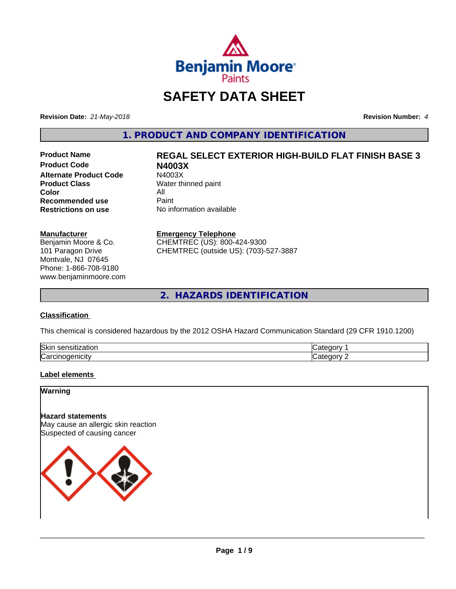

## **SAFETY DATA SHEET**

**Revision Date:** *21-May-2018* **Revision Number:** *4*

**1. PRODUCT AND COMPANY IDENTIFICATION**

**Product Code N4003X Alternate Product Code** N4003X<br> **Product Class** Water th **Color** All<br> **Recommended use** Paint **Recommended use**<br>Restrictions on use

# **Product Name REGAL SELECT EXTERIOR HIGH-BUILD FLAT FINISH BASE 3**

**Water thinned paint No information available** 

#### **Manufacturer**

Benjamin Moore & Co. 101 Paragon Drive Montvale, NJ 07645 Phone: 1-866-708-9180 www.benjaminmoore.com

#### **Emergency Telephone**

CHEMTREC (US): 800-424-9300 CHEMTREC (outside US): (703)-527-3887

**2. HAZARDS IDENTIFICATION**

#### **Classification**

This chemical is considered hazardous by the 2012 OSHA Hazard Communication Standard (29 CFR 1910.1200)

| Skir<br>sensitiz<br>≤ali∪H                    | $-$<br>и    |
|-----------------------------------------------|-------------|
| ∽<br>. . <b>. .</b> .<br>⊇nicity :<br>l∪arcır | $   -$<br>и |

#### **Label elements**

**Warning**

#### **Hazard statements**

May cause an allergic skin reaction Suspected of causing cancer

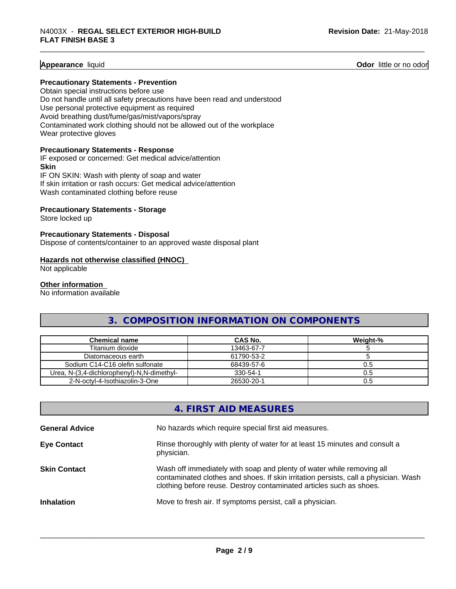**Appearance** liquid **Contract Contract Contract Contract Contract Contract Contract Contract Contract Contract Contract Contract Contract Contract Contract Contract Contract Contract Contract Contract Contract Contract Con** 

#### **Precautionary Statements - Prevention**

Obtain special instructions before use Do not handle until all safety precautions have been read and understood Use personal protective equipment as required Avoid breathing dust/fume/gas/mist/vapors/spray

Contaminated work clothing should not be allowed out of the workplace Wear protective gloves

#### **Precautionary Statements - Response**

IF exposed or concerned: Get medical advice/attention **Skin** IF ON SKIN: Wash with plenty of soap and water If skin irritation or rash occurs: Get medical advice/attention

Wash contaminated clothing before reuse

#### **Precautionary Statements - Storage**

Store locked up

#### **Precautionary Statements - Disposal**

Dispose of contents/container to an approved waste disposal plant

#### **Hazards not otherwise classified (HNOC)**

Not applicable

#### **Other information**

No information available

## **3. COMPOSITION INFORMATION ON COMPONENTS**

| <b>Chemical name</b>                       | CAS No.    | Weight-% |
|--------------------------------------------|------------|----------|
| Titanium dioxide                           | 13463-67-7 |          |
| Diatomaceous earth                         | 61790-53-2 |          |
| Sodium C14-C16 olefin sulfonate            | 68439-57-6 | 0.5      |
| Urea, N-(3,4-dichlorophenyl)-N,N-dimethyl- | 330-54-1   | 0.5      |
| 2-N-octvl-4-Isothiazolin-3-One             | 26530-20-1 | U.5      |

## **4. FIRST AID MEASURES**

| Rinse thoroughly with plenty of water for at least 15 minutes and consult a<br><b>Eye Contact</b><br>physician.<br>Wash off immediately with soap and plenty of water while removing all<br><b>Skin Contact</b> |
|-----------------------------------------------------------------------------------------------------------------------------------------------------------------------------------------------------------------|
|                                                                                                                                                                                                                 |
| contaminated clothes and shoes. If skin irritation persists, call a physician. Wash<br>clothing before reuse. Destroy contaminated articles such as shoes.                                                      |
| Move to fresh air. If symptoms persist, call a physician.<br><b>Inhalation</b>                                                                                                                                  |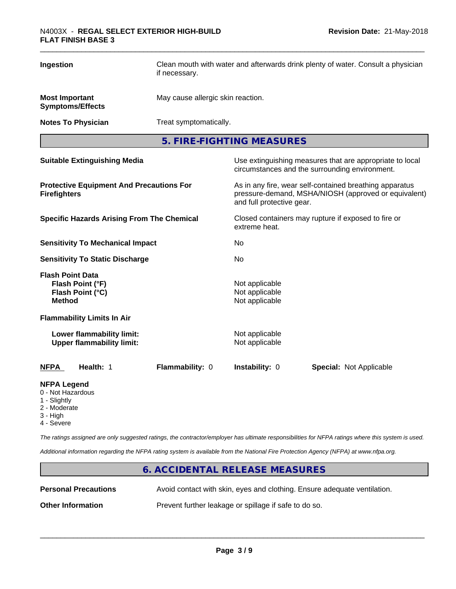#### \_\_\_\_\_\_\_\_\_\_\_\_\_\_\_\_\_\_\_\_\_\_\_\_\_\_\_\_\_\_\_\_\_\_\_\_\_\_\_\_\_\_\_\_\_\_\_\_\_\_\_\_\_\_\_\_\_\_\_\_\_\_\_\_\_\_\_\_\_\_\_\_\_\_\_\_\_\_\_\_\_\_\_\_\_\_\_\_\_\_\_\_\_ N4003X - **REGAL SELECT EXTERIOR HIGH-BUILD FLAT FINISH BASE 3**

| Ingestion                                                               |                                                                 | Clean mouth with water and afterwards drink plenty of water. Consult a physician<br>if necessary.          |                                                                                                                                              |                                |  |
|-------------------------------------------------------------------------|-----------------------------------------------------------------|------------------------------------------------------------------------------------------------------------|----------------------------------------------------------------------------------------------------------------------------------------------|--------------------------------|--|
| <b>Most Important</b>                                                   | <b>Symptoms/Effects</b>                                         | May cause allergic skin reaction.                                                                          |                                                                                                                                              |                                |  |
|                                                                         | <b>Notes To Physician</b>                                       | Treat symptomatically.                                                                                     |                                                                                                                                              |                                |  |
|                                                                         |                                                                 |                                                                                                            | 5. FIRE-FIGHTING MEASURES                                                                                                                    |                                |  |
| <b>Suitable Extinguishing Media</b>                                     |                                                                 | Use extinguishing measures that are appropriate to local<br>circumstances and the surrounding environment. |                                                                                                                                              |                                |  |
| <b>Protective Equipment And Precautions For</b><br><b>Firefighters</b>  |                                                                 |                                                                                                            | As in any fire, wear self-contained breathing apparatus<br>pressure-demand, MSHA/NIOSH (approved or equivalent)<br>and full protective gear. |                                |  |
| <b>Specific Hazards Arising From The Chemical</b>                       |                                                                 | Closed containers may rupture if exposed to fire or<br>extreme heat.                                       |                                                                                                                                              |                                |  |
| <b>Sensitivity To Mechanical Impact</b>                                 |                                                                 | No                                                                                                         |                                                                                                                                              |                                |  |
| <b>Sensitivity To Static Discharge</b>                                  |                                                                 | No                                                                                                         |                                                                                                                                              |                                |  |
| <b>Method</b>                                                           | <b>Flash Point Data</b><br>Flash Point (°F)<br>Flash Point (°C) |                                                                                                            | Not applicable<br>Not applicable<br>Not applicable                                                                                           |                                |  |
|                                                                         | <b>Flammability Limits In Air</b>                               |                                                                                                            |                                                                                                                                              |                                |  |
|                                                                         | Lower flammability limit:<br><b>Upper flammability limit:</b>   |                                                                                                            | Not applicable<br>Not applicable                                                                                                             |                                |  |
| <b>NFPA</b>                                                             | Health: 1                                                       | Flammability: 0                                                                                            | Instability: 0                                                                                                                               | <b>Special: Not Applicable</b> |  |
| <b>NFPA Legend</b><br>0 - Not Hazardous<br>1 - Slightly<br>2 - Moderate |                                                                 |                                                                                                            |                                                                                                                                              |                                |  |

- 3 High
- 4 Severe

*The ratings assigned are only suggested ratings, the contractor/employer has ultimate responsibilities for NFPA ratings where this system is used.*

*Additional information regarding the NFPA rating system is available from the National Fire Protection Agency (NFPA) at www.nfpa.org.*

## **6. ACCIDENTAL RELEASE MEASURES**

**Personal Precautions** Avoid contact with skin, eyes and clothing. Ensure adequate ventilation.

 $\overline{\phantom{a}}$  ,  $\overline{\phantom{a}}$  ,  $\overline{\phantom{a}}$  ,  $\overline{\phantom{a}}$  ,  $\overline{\phantom{a}}$  ,  $\overline{\phantom{a}}$  ,  $\overline{\phantom{a}}$  ,  $\overline{\phantom{a}}$  ,  $\overline{\phantom{a}}$  ,  $\overline{\phantom{a}}$  ,  $\overline{\phantom{a}}$  ,  $\overline{\phantom{a}}$  ,  $\overline{\phantom{a}}$  ,  $\overline{\phantom{a}}$  ,  $\overline{\phantom{a}}$  ,  $\overline{\phantom{a}}$ 

**Other Information** Prevent further leakage or spillage if safe to do so.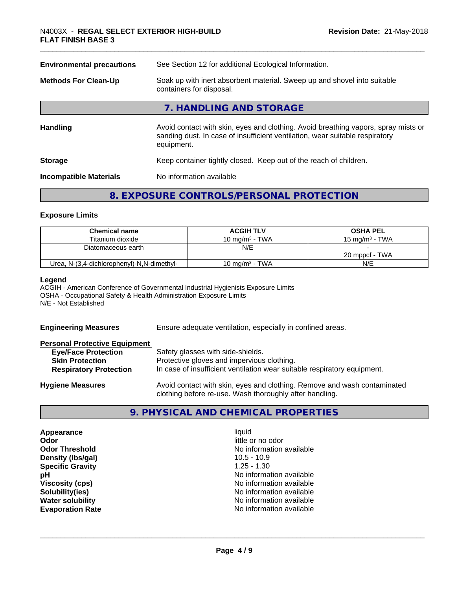| See Section 12 for additional Ecological Information.                                                                                                                            |  |  |
|----------------------------------------------------------------------------------------------------------------------------------------------------------------------------------|--|--|
| Soak up with inert absorbent material. Sweep up and shovel into suitable<br>containers for disposal.                                                                             |  |  |
| 7. HANDLING AND STORAGE                                                                                                                                                          |  |  |
| Avoid contact with skin, eyes and clothing. Avoid breathing vapors, spray mists or<br>sanding dust. In case of insufficient ventilation, wear suitable respiratory<br>equipment. |  |  |
| Keep container tightly closed. Keep out of the reach of children.                                                                                                                |  |  |
| No information available                                                                                                                                                         |  |  |
|                                                                                                                                                                                  |  |  |

## **8. EXPOSURE CONTROLS/PERSONAL PROTECTION**

#### **Exposure Limits**

| <b>Chemical name</b>                       | <b>ACGIH TLV</b>  | <b>OSHA PEL</b>   |
|--------------------------------------------|-------------------|-------------------|
| Titanium dioxide                           | 10 mg/m $3$ - TWA | 15 mg/m $3$ - TWA |
| Diatomaceous earth                         | N/E               |                   |
|                                            |                   | 20 mppcf - TWA    |
| Urea, N-(3,4-dichlorophenyl)-N,N-dimethyl- | 10 mg/m $3$ - TWA | N/E               |

#### **Legend**

ACGIH - American Conference of Governmental Industrial Hygienists Exposure Limits OSHA - Occupational Safety & Health Administration Exposure Limits N/E - Not Established

| <b>Engineering Measures</b>          | Ensure adequate ventilation, especially in confined areas.                                                                          |  |  |
|--------------------------------------|-------------------------------------------------------------------------------------------------------------------------------------|--|--|
| <b>Personal Protective Equipment</b> |                                                                                                                                     |  |  |
| <b>Eye/Face Protection</b>           | Safety glasses with side-shields.                                                                                                   |  |  |
| <b>Skin Protection</b>               | Protective gloves and impervious clothing.                                                                                          |  |  |
| <b>Respiratory Protection</b>        | In case of insufficient ventilation wear suitable respiratory equipment.                                                            |  |  |
| <b>Hygiene Measures</b>              | Avoid contact with skin, eyes and clothing. Remove and wash contaminated<br>clothing before re-use. Wash thoroughly after handling. |  |  |

## **9. PHYSICAL AND CHEMICAL PROPERTIES**

**Appearance** liquid **Odor Odor**<br> **Odor Threshold**<br> **Odor Threshold**<br> **Odor Threshold**<br> **Odor Density (lbs/gal)** 10.5 - 10.9<br> **Specific Gravity** 1.25 - 1.30 **Specific Gravity**<br>pH

**No information available No information available Viscosity (cps)** No information available **Solubility(ies)**<br> **No** information available<br> **Water solubility**<br> **Water solubility No information available Evaporation Rate Evaporation Rate No information available**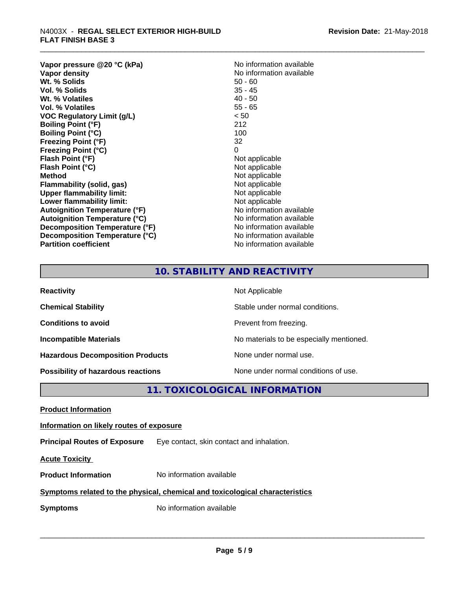## \_\_\_\_\_\_\_\_\_\_\_\_\_\_\_\_\_\_\_\_\_\_\_\_\_\_\_\_\_\_\_\_\_\_\_\_\_\_\_\_\_\_\_\_\_\_\_\_\_\_\_\_\_\_\_\_\_\_\_\_\_\_\_\_\_\_\_\_\_\_\_\_\_\_\_\_\_\_\_\_\_\_\_\_\_\_\_\_\_\_\_\_\_ N4003X - **REGAL SELECT EXTERIOR HIGH-BUILD FLAT FINISH BASE 3**

**Vapor pressure @20 °C (kPa)**<br> **Vapor density**<br> **Vapor density**<br> **Vapor density Wt. % Solids** 50 - 60<br> **Vol. % Solids** 50 - 60<br> **Vol. % Solids** 50 - 45 **Vol. % Solids** 35 - 45<br> **Wt. % Volatiles** 35 - 45 **Wt. % Volatiles Vol. % Volatiles** 55 - 65 **VOC Regulatory Limit (g/L)** < 50 **Boiling Point (°F)** 212 **Boiling Point (°C)** 100 **Freezing Point (°F)** 32 **Freezing Point (°C)** 0 **Flash Point (°F)** Not applicable **Flash Point (°C)**<br> **Method** Not applicable<br> **Method** Not applicable **Flammability** (solid, gas) **Upper flammability limit:**<br> **Lower flammability limit:** Not applicable Not applicable **Lower flammability limit:**<br> **Autoignition Temperature (°F)** Not applicable havailable **Autoignition Temperature (°F) Autoignition Temperature (°C)**<br> **Decomposition Temperature (°F)** No information available **Decomposition Temperature (°F) Decomposition Temperature (°C)** No information available **Partition coefficient Contract Contract Contract Contract Contract Contract Contract Contract Contract Contract Contract Contract Contract Contract Contract Contract Contract Contract Contract Contract Contract Contract** 

**No information available**<br>50 - 60 **Not applicable**<br>Not applicable

## **10. STABILITY AND REACTIVITY**

| <b>Reactivity</b>                         | Not Applicable                           |
|-------------------------------------------|------------------------------------------|
| <b>Chemical Stability</b>                 | Stable under normal conditions.          |
| <b>Conditions to avoid</b>                | Prevent from freezing.                   |
| <b>Incompatible Materials</b>             | No materials to be especially mentioned. |
| <b>Hazardous Decomposition Products</b>   | None under normal use.                   |
| <b>Possibility of hazardous reactions</b> | None under normal conditions of use.     |

## **11. TOXICOLOGICAL INFORMATION**

**Product Information**

**Information on likely routes of exposure**

**Principal Routes of Exposure** Eye contact, skin contact and inhalation.

**Acute Toxicity** 

**Product Information** No information available

## **Symptoms related to the physical,chemical and toxicological characteristics**

**Symptoms** No information available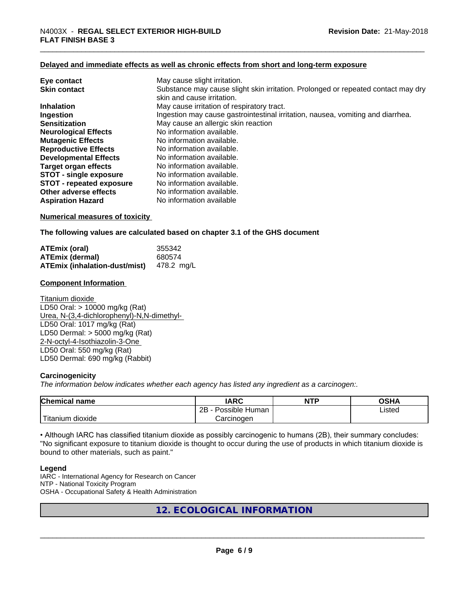#### **Delayed and immediate effects as well as chronic effects from short and long-term exposure**

| Eye contact                     | May cause slight irritation.                                                      |
|---------------------------------|-----------------------------------------------------------------------------------|
| <b>Skin contact</b>             | Substance may cause slight skin irritation. Prolonged or repeated contact may dry |
|                                 | skin and cause irritation.                                                        |
| <b>Inhalation</b>               | May cause irritation of respiratory tract.                                        |
| Ingestion                       | Ingestion may cause gastrointestinal irritation, nausea, vomiting and diarrhea.   |
| <b>Sensitization</b>            | May cause an allergic skin reaction                                               |
| <b>Neurological Effects</b>     | No information available.                                                         |
| <b>Mutagenic Effects</b>        | No information available.                                                         |
| <b>Reproductive Effects</b>     | No information available.                                                         |
| <b>Developmental Effects</b>    | No information available.                                                         |
| Target organ effects            | No information available.                                                         |
| <b>STOT - single exposure</b>   | No information available.                                                         |
| <b>STOT - repeated exposure</b> | No information available.                                                         |
| Other adverse effects           | No information available.                                                         |
| <b>Aspiration Hazard</b>        | No information available                                                          |

#### **Numerical measures of toxicity**

**The following values are calculated based on chapter 3.1 of the GHS document**

| ATEmix (oral)                        | 355342     |
|--------------------------------------|------------|
| <b>ATEmix (dermal)</b>               | 680574     |
| <b>ATEmix (inhalation-dust/mist)</b> | 478.2 ma/L |

#### **Component Information**

Titanium dioxide LD50 Oral: > 10000 mg/kg (Rat) Urea, N-(3,4-dichlorophenyl)-N,N-dimethyl- LD50 Oral: 1017 mg/kg (Rat) LD50 Dermal: > 5000 mg/kg (Rat) 2-N-octyl-4-Isothiazolin-3-One LD50 Oral: 550 mg/kg (Rat) LD50 Dermal: 690 mg/kg (Rabbit)

#### **Carcinogenicity**

*The information below indicateswhether each agency has listed any ingredient as a carcinogen:.*

| <b>Chemical name</b> | <b>IARC</b>               | <b>NTP</b> | OSHA   |
|----------------------|---------------------------|------------|--------|
|                      | .<br>2B<br>Possible Human |            | Listed |
| Titanium dioxide     | Carcinoɑen                |            |        |

• Although IARC has classified titanium dioxide as possibly carcinogenic to humans (2B), their summary concludes: "No significant exposure to titanium dioxide is thought to occur during the use of products in which titanium dioxide is bound to other materials, such as paint."

#### **Legend**

IARC - International Agency for Research on Cancer NTP - National Toxicity Program OSHA - Occupational Safety & Health Administration

## **12. ECOLOGICAL INFORMATION**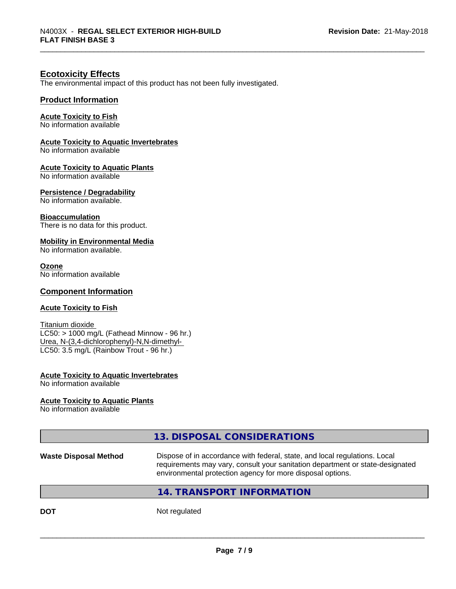#### **Ecotoxicity Effects**

The environmental impact of this product has not been fully investigated.

#### **Product Information**

#### **Acute Toxicity to Fish**

No information available

#### **Acute Toxicity to Aquatic Invertebrates**

No information available

#### **Acute Toxicity to Aquatic Plants**

No information available

#### **Persistence / Degradability**

No information available.

#### **Bioaccumulation**

There is no data for this product.

#### **Mobility in Environmental Media**

No information available.

#### **Ozone**

No information available

#### **Component Information**

#### **Acute Toxicity to Fish**

Titanium dioxide  $LC50:$  > 1000 mg/L (Fathead Minnow - 96 hr.) Urea, N-(3,4-dichlorophenyl)-N,N-dimethyl- LC50: 3.5 mg/L (Rainbow Trout - 96 hr.)

#### **Acute Toxicity to Aquatic Invertebrates**

No information available

#### **Acute Toxicity to Aquatic Plants**

No information available

## **13. DISPOSAL CONSIDERATIONS**

| Dispose of in accordance with federal, state, and local regulations. Local<br><b>Waste Disposal Method</b> |                                                                               |
|------------------------------------------------------------------------------------------------------------|-------------------------------------------------------------------------------|
|                                                                                                            | requirements may vary, consult your sanitation department or state-designated |
|                                                                                                            | environmental protection agency for more disposal options.                    |

### **14. TRANSPORT INFORMATION**

**DOT** Not regulated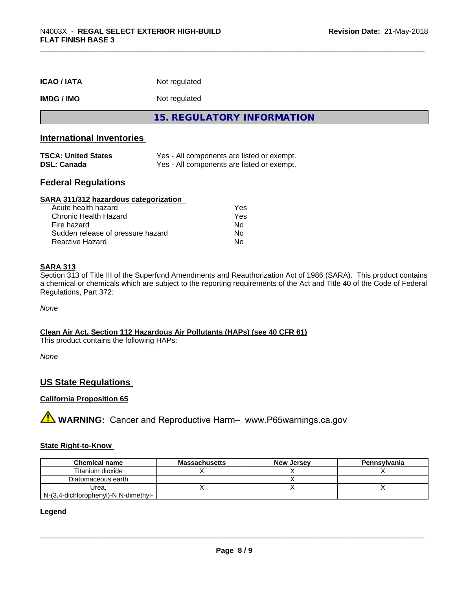| <b>ICAO / IATA</b>                               | Not regulated                                                                            |  |  |
|--------------------------------------------------|------------------------------------------------------------------------------------------|--|--|
| <b>IMDG / IMO</b>                                | Not regulated                                                                            |  |  |
|                                                  | 15. REGULATORY INFORMATION                                                               |  |  |
| <b>International Inventories</b>                 |                                                                                          |  |  |
| <b>TSCA: United States</b><br><b>DSL: Canada</b> | Yes - All components are listed or exempt.<br>Yes - All components are listed or exempt. |  |  |

#### **Federal Regulations**

| SARA 311/312 hazardous categorization |     |  |
|---------------------------------------|-----|--|
| Acute health hazard                   | Yes |  |
| Chronic Health Hazard                 | Yes |  |
| Fire hazard                           | No  |  |
| Sudden release of pressure hazard     | No  |  |
| Reactive Hazard                       | No  |  |

#### **SARA 313**

Section 313 of Title III of the Superfund Amendments and Reauthorization Act of 1986 (SARA). This product contains a chemical or chemicals which are subject to the reporting requirements of the Act and Title 40 of the Code of Federal Regulations, Part 372:

*None*

#### **Clean Air Act,Section 112 Hazardous Air Pollutants (HAPs) (see 40 CFR 61)**

This product contains the following HAPs:

*None*

#### **US State Regulations**

#### **California Proposition 65**

**A WARNING:** Cancer and Reproductive Harm– www.P65warnings.ca.gov

#### **State Right-to-Know**

| <b>Chemical name</b>                     | <b>Massachusetts</b> | <b>New Jersey</b> | Pennsylvania |
|------------------------------------------|----------------------|-------------------|--------------|
| Titanium dioxide                         |                      |                   |              |
| Diatomaceous earth                       |                      |                   |              |
| Urea.                                    |                      |                   |              |
| $N-(3,4$ -dichlorophenyl)-N, N-dimethyl- |                      |                   |              |

#### **Legend**